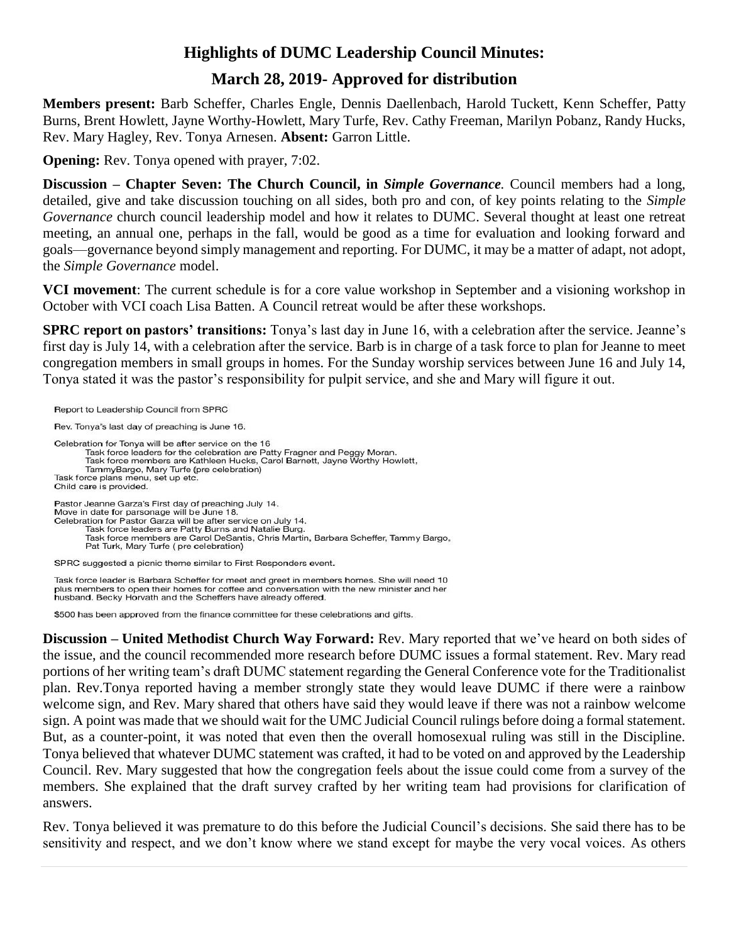# **Highlights of DUMC Leadership Council Minutes:**

# **March 28, 2019- Approved for distribution**

**Members present:** Barb Scheffer, Charles Engle, Dennis Daellenbach, Harold Tuckett, Kenn Scheffer, Patty Burns, Brent Howlett, Jayne Worthy-Howlett, Mary Turfe, Rev. Cathy Freeman, Marilyn Pobanz, Randy Hucks, Rev. Mary Hagley, Rev. Tonya Arnesen. **Absent:** Garron Little.

**Opening:** Rev. Tonya opened with prayer, 7:02.

**Discussion – Chapter Seven: The Church Council, in** *Simple Governance.* Council members had a long, detailed, give and take discussion touching on all sides, both pro and con, of key points relating to the *Simple Governance* church council leadership model and how it relates to DUMC. Several thought at least one retreat meeting, an annual one, perhaps in the fall, would be good as a time for evaluation and looking forward and goals—governance beyond simply management and reporting. For DUMC, it may be a matter of adapt, not adopt, the *Simple Governance* model.

**VCI movement**: The current schedule is for a core value workshop in September and a visioning workshop in October with VCI coach Lisa Batten. A Council retreat would be after these workshops.

**SPRC report on pastors' transitions:** Tonya's last day in June 16, with a celebration after the service. Jeanne's first day is July 14, with a celebration after the service. Barb is in charge of a task force to plan for Jeanne to meet congregation members in small groups in homes. For the Sunday worship services between June 16 and July 14, Tonya stated it was the pastor's responsibility for pulpit service, and she and Mary will figure it out.

Report to Leadership Council from SPRC Rev. Tonya's last day of preaching is June 16. Celebration for Tonya will be after service on the 16 Task force leaders for the celebration are Patty Fragner and Peggy Moran. Task force members are Kathleen Hucks, Carol Barnett, Jayne Worthy Howlett, TammyBargo, Mary Turfe (pre celebration) Task force plans menu, set up etc. Child care is provided. Pastor Jeanne Garza's First day of preaching July 14. Move in date for parsonage will be June 18. Celebration for Pastor Garza will be after service on July 14. Task force leaders are Patty Burns and Natalie Burg. Task force members are Carol DeSantis, Chris Martin, Barbara Scheffer, Tammy Bargo, Pat Turk, Mary Turfe (pre celebration) SPRC suggested a picnic theme similar to First Responders event.

Task force leader is Barbara Scheffer for meet and greet in members homes. She will need 10 plus members to open their homes for coffee and conversation with the new minister and her husband. Becky Horvath and the Scheffers have already offered.

\$500 has been approved from the finance committee for these celebrations and gifts.

**Discussion – United Methodist Church Way Forward:** Rev. Mary reported that we've heard on both sides of the issue, and the council recommended more research before DUMC issues a formal statement. Rev. Mary read portions of her writing team's draft DUMC statement regarding the General Conference vote for the Traditionalist plan. Rev.Tonya reported having a member strongly state they would leave DUMC if there were a rainbow welcome sign, and Rev. Mary shared that others have said they would leave if there was not a rainbow welcome sign. A point was made that we should wait for the UMC Judicial Council rulings before doing a formal statement. But, as a counter-point, it was noted that even then the overall homosexual ruling was still in the Discipline. Tonya believed that whatever DUMC statement was crafted, it had to be voted on and approved by the Leadership Council. Rev. Mary suggested that how the congregation feels about the issue could come from a survey of the members. She explained that the draft survey crafted by her writing team had provisions for clarification of answers.

Rev. Tonya believed it was premature to do this before the Judicial Council's decisions. She said there has to be sensitivity and respect, and we don't know where we stand except for maybe the very vocal voices. As others